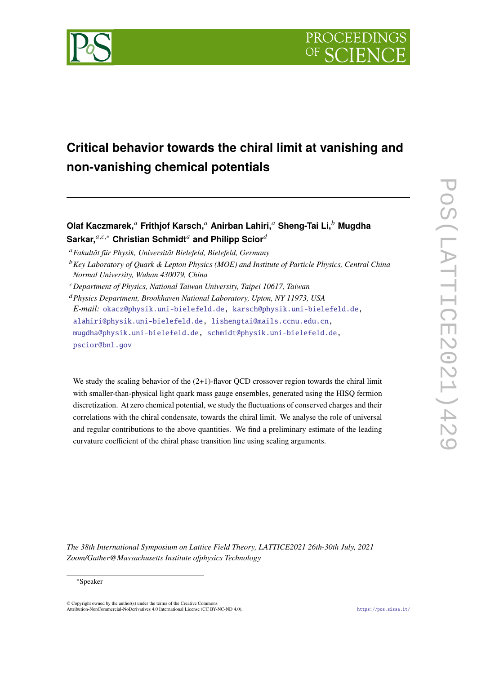

# **Critical behavior towards the chiral limit at vanishing and non-vanishing chemical potentials**

# **Olaf Kaczmarek,**<sup>𝑎</sup> **Frithjof Karsch,**<sup>𝑎</sup> **Anirban Lahiri,**<sup>𝑎</sup> **Sheng-Tai Li,**<sup>𝑏</sup> **Mugdha Sarkar,**<sup>a,c,\*</sup> Christian Schmidt<sup>a</sup> and Philipp Scior<sup>d</sup>

<sup>𝑎</sup>*Fakultät für Physik, Universität Bielefeld, Bielefeld, Germany*

- <sup>b</sup> Key Laboratory of Quark & Lepton Physics (MOE) and Institute of Particle Physics, Central China *Normal University, Wuhan 430079, China*
- <sup>𝑐</sup>*Department of Physics, National Taiwan University, Taipei 10617, Taiwan*

<sup>𝑑</sup>*Physics Department, Brookhaven National Laboratory, Upton, NY 11973, USA E-mail:* [okacz@physik.uni-bielefeld.de,](mailto:okacz@physik.uni-bielefeld.de) [karsch@physik.uni-bielefeld.de,](mailto:karsch@physik.uni-bielefeld.de) [alahiri@physik.uni-bielefeld.de,](mailto:alahiri@physik.uni-bielefeld.de) [lishengtai@mails.ccnu.edu.cn,](mailto:lishengtai@mails.ccnu.edu.cn) [mugdha@physik.uni-bielefeld.de,](mailto:mugdha@physik.uni-bielefeld.de) [schmidt@physik.uni-bielefeld.de,](mailto:schmidt@physik.uni-bielefeld.de) [pscior@bnl.gov](mailto:pscior@bnl.gov)

We study the scaling behavior of the  $(2+1)$ -flavor OCD crossover region towards the chiral limit with smaller-than-physical light quark mass gauge ensembles, generated using the HISQ fermion discretization. At zero chemical potential, we study the fluctuations of conserved charges and their correlations with the chiral condensate, towards the chiral limit. We analyse the role of universal and regular contributions to the above quantities. We find a preliminary estimate of the leading curvature coefficient of the chiral phase transition line using scaling arguments.

*The 38th International Symposium on Lattice Field Theory, LATTICE2021 26th-30th July, 2021 Zoom/Gather@Massachusetts Institute ofphysics Technology*

#### ∗Speaker

© Copyright owned by the author(s) under the terms of the Creative Commons Attribution-NonCommercial-NoDerivatives 4.0 International License (CC BY-NC-ND 4.0). <https://pos.sissa.it/>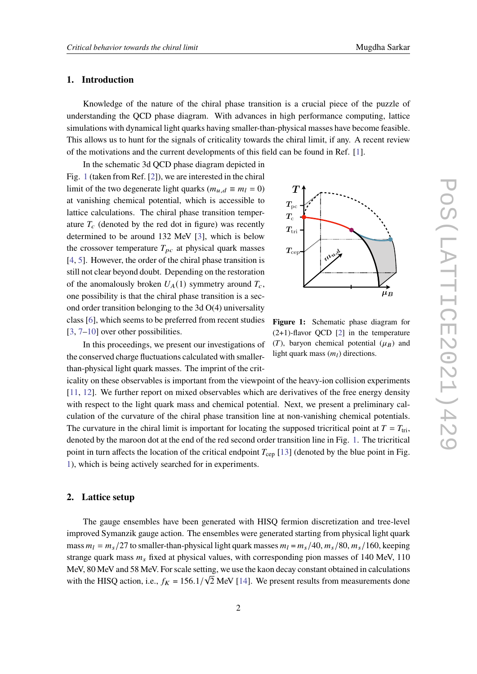# **1. Introduction**

Knowledge of the nature of the chiral phase transition is a crucial piece of the puzzle of understanding the QCD phase diagram. With advances in high performance computing, lattice simulations with dynamical light quarks having smaller-than-physical masses have become feasible. This allows us to hunt for the signals of criticality towards the chiral limit, if any. A recent review of the motivations and the current developments of this field can be found in Ref. [\[1\]](#page-8-0).

In the schematic 3d QCD phase diagram depicted in Fig. [1](#page-1-0) (taken from Ref. [\[2\]](#page-8-1)), we are interested in the chiral limit of the two degenerate light quarks ( $m_{u,d} \equiv m_l = 0$ ) at vanishing chemical potential, which is accessible to lattice calculations. The chiral phase transition temperature  $T_c$  (denoted by the red dot in figure) was recently determined to be around 132 MeV [\[3\]](#page-8-2), which is below the crossover temperature  $T_{pc}$  at physical quark masses [\[4,](#page-8-3) [5\]](#page-9-0). However, the order of the chiral phase transition is still not clear beyond doubt. Depending on the restoration of the anomalously broken  $U_A(1)$  symmetry around  $T_c$ , one possibility is that the chiral phase transition is a second order transition belonging to the 3d O(4) universality class [\[6\]](#page-9-1), which seems to be preferred from recent studies  $[3, 7-10]$  $[3, 7-10]$  $[3, 7-10]$  $[3, 7-10]$  over other possibilities.

<span id="page-1-0"></span>

**Figure 1:** Schematic phase diagram for  $(2+1)$ -flavor QCD [\[2\]](#page-8-1) in the temperature (*T*), baryon chemical potential ( $\mu_B$ ) and light quark mass  $(m_l)$  directions.

In this proceedings, we present our investigations of the conserved charge fluctuations calculated with smallerthan-physical light quark masses. The imprint of the crit-

icality on these observables is important from the viewpoint of the heavy-ion collision experiments [\[11,](#page-9-4) [12\]](#page-9-5). We further report on mixed observables which are derivatives of the free energy density with respect to the light quark mass and chemical potential. Next, we present a preliminary calculation of the curvature of the chiral phase transition line at non-vanishing chemical potentials. The curvature in the chiral limit is important for locating the supposed tricritical point at  $T = T_{\text{tri}}$ , denoted by the maroon dot at the end of the red second order transition line in Fig. [1.](#page-1-0) The tricritical point in turn affects the location of the critical endpoint  $T_{\rm cep}$  [\[13\]](#page-9-6) (denoted by the blue point in Fig. [1\)](#page-1-0), which is being actively searched for in experiments.

# **2. Lattice setup**

The gauge ensembles have been generated with HISQ fermion discretization and tree-level improved Symanzik gauge action. The ensembles were generated starting from physical light quark mass  $m_l = m_s/27$  to smaller-than-physical light quark masses  $m_l = m_s/40$ ,  $m_s/80$ ,  $m_s/160$ , keeping strange quark mass  $m_s$  fixed at physical values, with corresponding pion masses of 140 MeV, 110 MeV, 80 MeV and 58 MeV. For scale setting, we use the kaon decay constant obtained in calculations with the HISQ action, i.e.,  $f_K = 156.1/\sqrt{2}$  MeV [\[14\]](#page-9-7). We present results from measurements done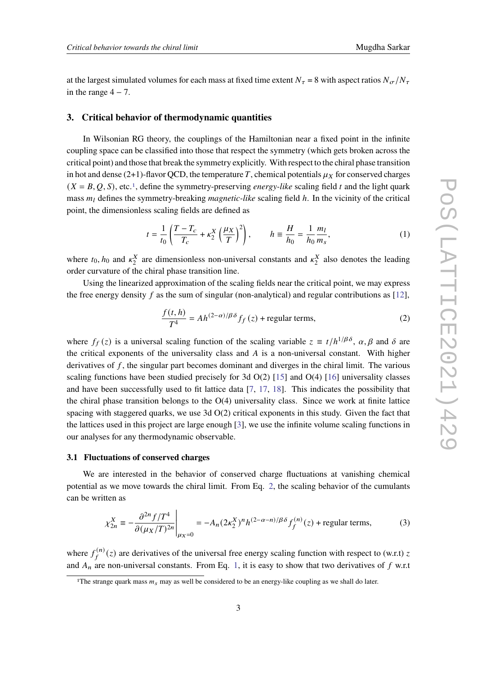at the largest simulated volumes for each mass at fixed time extent  $N_{\tau} = 8$  with aspect ratios  $N_{\sigma}/N_{\tau}$ in the range  $4 - 7$ .

# **3. Critical behavior of thermodynamic quantities**

In Wilsonian RG theory, the couplings of the Hamiltonian near a fixed point in the infinite coupling space can be classified into those that respect the symmetry (which gets broken across the critical point) and those that break the symmetry explicitly. With respect to the chiral phase transition in hot and dense (2+1)-flavor QCD, the temperature T, chemical potentials  $\mu_X$  for conserved charges  $(X = B, Q, S)$ , etc.<sup>[1](#page-2-0)</sup>, define the symmetry-preserving *energy-like* scaling field t and the light quark mass  $m_l$  defines the symmetry-breaking *magnetic-like* scaling field h. In the vicinity of the critical point, the dimensionless scaling fields are defined as

<span id="page-2-2"></span>
$$
t = \frac{1}{t_0} \left( \frac{T - T_c}{T_c} + \kappa_2^X \left( \frac{\mu_X}{T} \right)^2 \right), \qquad h \equiv \frac{H}{h_0} = \frac{1}{h_0} \frac{m_l}{m_s},
$$
 (1)

where  $t_0$ ,  $h_0$  and  $\kappa_2^X$  are dimensionless non-universal constants and  $\kappa_2^X$  also denotes the leading order curvature of the chiral phase transition line.

Using the linearized approximation of the scaling fields near the critical point, we may express the free energy density f as the sum of singular (non-analytical) and regular contributions as  $[12]$ ,

<span id="page-2-1"></span>
$$
\frac{f(t,h)}{T^4} = Ah^{(2-\alpha)/\beta\delta} f_f(z) + \text{regular terms},\tag{2}
$$

where  $f_f(z)$  is a universal scaling function of the scaling variable  $z = t/h^{1/\beta\delta}$ ,  $\alpha, \beta$  and  $\delta$  are the critical exponents of the universality class and  $A$  is a non-universal constant. With higher derivatives of  $f$ , the singular part becomes dominant and diverges in the chiral limit. The various scaling functions have been studied precisely for 3d  $O(2)$  [\[15\]](#page-9-8) and  $O(4)$  [\[16\]](#page-9-9) universality classes and have been successfully used to fit lattice data [\[7,](#page-9-2) [17,](#page-9-10) [18\]](#page-9-11). This indicates the possibility that the chiral phase transition belongs to the  $O(4)$  universality class. Since we work at finite lattice spacing with staggered quarks, we use 3d O(2) critical exponents in this study. Given the fact that the lattices used in this project are large enough [\[3\]](#page-8-2), we use the infinite volume scaling functions in our analyses for any thermodynamic observable.

#### <span id="page-2-4"></span>**3.1 Fluctuations of conserved charges**

We are interested in the behavior of conserved charge fluctuations at vanishing chemical potential as we move towards the chiral limit. From Eq. [2,](#page-2-1) the scaling behavior of the cumulants can be written as

<span id="page-2-3"></span>
$$
\chi_{2n}^{X} \equiv -\frac{\partial^{2n} f/T^{4}}{\partial (\mu_{X}/T)^{2n}} \bigg|_{\mu_{X}=0} = -A_{n} (2\kappa_{2}^{X})^{n} h^{(2-\alpha-n)/\beta\delta} f_{f}^{(n)}(z) + \text{regular terms}, \tag{3}
$$

where  $f_c^{(n)}$  $_{f}^{(n)}(z)$  are derivatives of the universal free energy scaling function with respect to (w.r.t) z and  $A_n$  are non-universal constants. From Eq. [1,](#page-2-2) it is easy to show that two derivatives of f w.r.t

<span id="page-2-0"></span><sup>&</sup>lt;sup>1</sup>The strange quark mass  $m_s$  may as well be considered to be an energy-like coupling as we shall do later.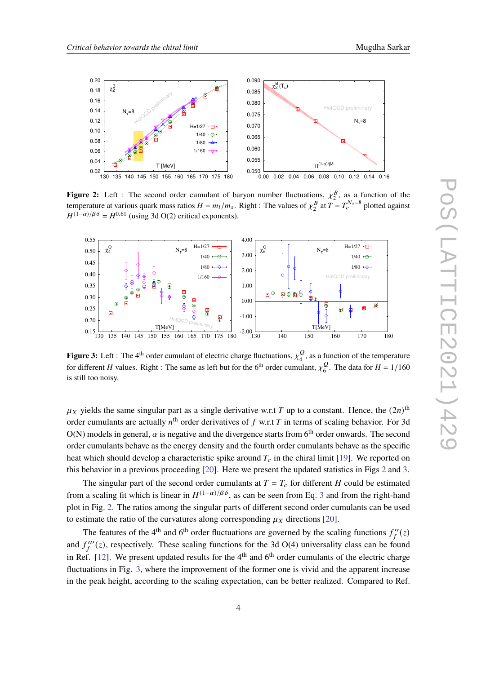

<span id="page-3-0"></span>

**Figure 2:** Left : The second order cumulant of baryon number fluctuations,  $\chi_2^B$ , as a function of the temperature at various quark mass ratios  $H = m_l/m_s$ . Right : The values of  $\chi_2^B$  at  $T = T_c^{N_\tau=8}$  plotted against  $H^{(1-\alpha)/\beta\delta} = H^{0.61}$  (using 3d O(2) critical exponents).

<span id="page-3-1"></span>

**Figure 3:** Left : The 4<sup>th</sup> order cumulant of electric charge fluctuations,  $\chi^Q_A$  $\frac{Q}{4}$ , as a function of the temperature for different H values. Right : The same as left but for the 6<sup>th</sup> order cumulant,  $v_c^Q$  $\frac{Q}{6}$ . The data for  $H = 1/160$ is still too noisy.

 $\mu_X$  yields the same singular part as a single derivative w.r.t T up to a constant. Hence, the  $(2n)$ <sup>th</sup> order cumulants are actually  $n<sup>th</sup>$  order derivatives of f w.r.t T in terms of scaling behavior. For 3d O(N) models in general,  $\alpha$  is negative and the divergence starts from 6<sup>th</sup> order onwards. The second order cumulants behave as the energy density and the fourth order cumulants behave as the specific heat which should develop a characteristic spike around  $T_c$  in the chiral limit [\[19\]](#page-10-0). We reported on this behavior in a previous proceeding [\[20\]](#page-10-1). Here we present the updated statistics in Figs [2](#page-3-0) and [3.](#page-3-1)

The singular part of the second order cumulants at  $T = T_c$  for different H could be estimated from a scaling fit which is linear in  $H^{(1-\alpha)/\beta\delta}$ , as can be seen from Eq. [3](#page-2-3) and from the right-hand plot in Fig. [2.](#page-3-0) The ratios among the singular parts of different second order cumulants can be used to estimate the ratio of the curvatures along corresponding  $\mu_X$  directions [\[20\]](#page-10-1).

The features of the 4<sup>th</sup> and 6<sup>th</sup> order fluctuations are governed by the scaling functions  $f_f''(z)$ and  $f_f'''(z)$ , respectively. These scaling functions for the 3d O(4) universality class can be found in Ref. [\[12\]](#page-9-5). We present updated results for the  $4<sup>th</sup>$  and  $6<sup>th</sup>$  order cumulants of the electric charge fluctuations in Fig. [3,](#page-3-1) where the improvement of the former one is vivid and the apparent increase in the peak height, according to the scaling expectation, can be better realized. Compared to Ref.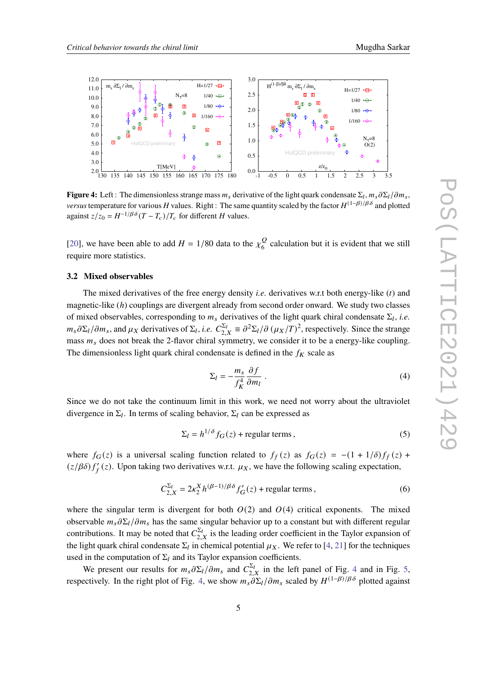<span id="page-4-0"></span>

**Figure 4:** Left: The dimensionless strange mass  $m_s$  derivative of the light quark condensate  $\Sigma_l$ ,  $m_s \partial \Sigma_l / \partial m_s$ , *versus* temperature for various H values. Right : The same quantity scaled by the factor  $H^{(1-\beta)/\beta\delta}$  and plotted against  $z/z_0 = H^{-1/\beta\delta}(T - T_c)/T_c$  for different H values.

[\[20\]](#page-10-1), we have been able to add  $H = 1/80$  data to the  $\chi^Q_6$  $\frac{Q}{6}$  calculation but it is evident that we still require more statistics.

## **3.2 Mixed observables**

The mixed derivatives of the free energy density *i.e.* derivatives w.r.t both energy-like  $(t)$  and magnetic-like  $(h)$  couplings are divergent already from second order onward. We study two classes of mixed observables, corresponding to  $m_s$  derivatives of the light quark chiral condensate  $\Sigma_l$ , *i.e.*  $m_s \partial \Sigma_l / \partial m_s$ , and  $\mu_X$  derivatives of  $\Sigma_l$ , *i.e.*  $C_{2,X}^{\Sigma_l} \equiv \partial^2 \Sigma_l / \partial (\mu_X / T)^2$ , respectively. Since the strange mass  $m_s$  does not break the 2-flavor chiral symmetry, we consider it to be a energy-like coupling. The dimensionless light quark chiral condensate is defined in the  $f_K$  scale as

$$
\Sigma_l = -\frac{m_s}{f_K^4} \frac{\partial f}{\partial m_l} \tag{4}
$$

Since we do not take the continuum limit in this work, we need not worry about the ultraviolet divergence in  $\Sigma_l$ . In terms of scaling behavior,  $\Sigma_l$  can be expressed as

$$
\Sigma_l = h^{1/\delta} f_G(z) + \text{regular terms},\tag{5}
$$

where  $f_G(z)$  is a universal scaling function related to  $f_f(z)$  as  $f_G(z) = -(1 + 1/\delta)f_f(z) +$  $(z/\beta\delta) f'_{f}(z)$ . Upon taking two derivatives w.r.t.  $\mu_{X}$ , we have the following scaling expectation,

<span id="page-4-1"></span>
$$
C_{2,X}^{\Sigma_l} = 2\kappa_2^X h^{(\beta-1)/\beta\delta} f'_G(z) + \text{regular terms},\tag{6}
$$

where the singular term is divergent for both  $O(2)$  and  $O(4)$  critical exponents. The mixed observable  $m_s \partial \Sigma_l / \partial m_s$  has the same singular behavior up to a constant but with different regular contributions. It may be noted that  $C_{2,X}^{\Sigma_l}$  is the leading order coefficient in the Taylor expansion of the light quark chiral condensate  $\Sigma_l$  in chemical potential  $\mu_X$ . We refer to [\[4,](#page-8-3) [21\]](#page-10-2) for the techniques used in the computation of  $\Sigma_l$  and its Taylor expansion coefficients.

We present our results for  $m_s \partial \Sigma_l / \partial m_s$  and  $C_{2,X}^{\Sigma_l}$  in the left panel of Fig. [4](#page-4-0) and in Fig. [5,](#page-5-0) respectively. In the right plot of Fig. [4,](#page-4-0) we show  $m_s \partial \Sigma_l / \partial m_s$  scaled by  $H^{(1-\beta)/\beta\delta}$  plotted against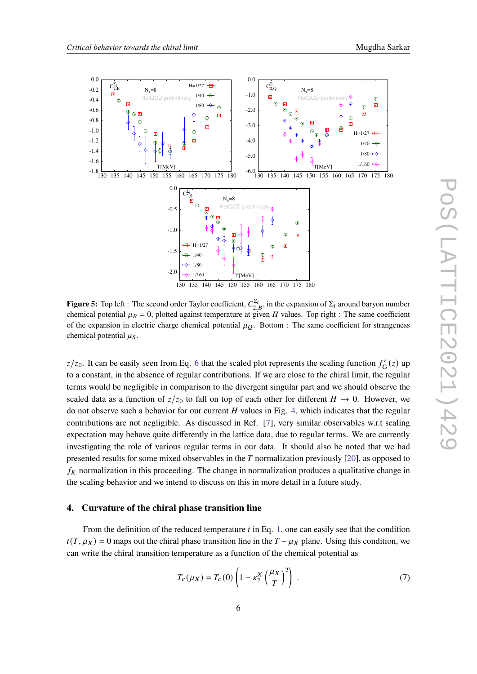<span id="page-5-0"></span>

**Figure 5:** Top left : The second order Taylor coefficient,  $C_{2,B}^{\Sigma_l}$ , in the expansion of  $\Sigma_l$  around baryon number chemical potential  $\mu_B = 0$ , plotted against temperature at given H values. Top right : The same coefficient of the expansion in electric charge chemical potential  $\mu_Q$ . Bottom : The same coefficient for strangeness chemical potential  $\mu_S$ .

 $z/z_0$ . It can be easily seen from Eq. [6](#page-4-1) that the scaled plot represents the scaling function  $f'_{\mathbf{G}}(z)$  up to a constant, in the absence of regular contributions. If we are close to the chiral limit, the regular terms would be negligible in comparison to the divergent singular part and we should observe the scaled data as a function of  $z/z_0$  to fall on top of each other for different  $H \to 0$ . However, we do not observe such a behavior for our current  $H$  values in Fig. [4,](#page-4-0) which indicates that the regular contributions are not negligible. As discussed in Ref. [\[7\]](#page-9-2), very similar observables w.r.t scaling expectation may behave quite differently in the lattice data, due to regular terms. We are currently investigating the role of various regular terms in our data. It should also be noted that we had presented results for some mixed observables in the  $T$  normalization previously [\[20\]](#page-10-1), as opposed to  $f_K$  normalization in this proceeding. The change in normalization produces a qualitative change in the scaling behavior and we intend to discuss on this in more detail in a future study.

# **4. Curvature of the chiral phase transition line**

From the definition of the reduced temperature  $t$  in Eq. [1,](#page-2-2) one can easily see that the condition  $t(T, \mu_X) = 0$  maps out the chiral phase transition line in the  $T - \mu_X$  plane. Using this condition, we can write the chiral transition temperature as a function of the chemical potential as

$$
T_c(\mu_X) = T_c(0) \left( 1 - \kappa_2^X \left( \frac{\mu_X}{T} \right)^2 \right) \,. \tag{7}
$$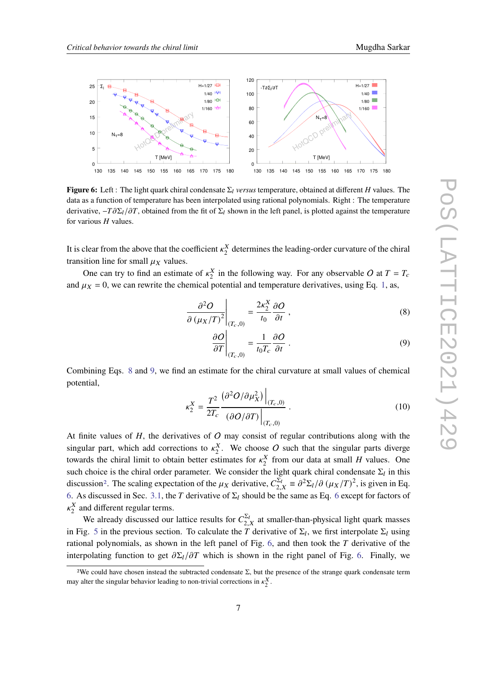<span id="page-6-3"></span>

**Figure 6:** Left : The light quark chiral condensate  $\Sigma_l$  *versus* temperature, obtained at different H values. The data as a function of temperature has been interpolated using rational polynomials. Right : The temperature derivative,  $-T\partial\Sigma_l/\partial T$ , obtained from the fit of  $\Sigma_l$  shown in the left panel, is plotted against the temperature for various  $H$  values.

It is clear from the above that the coefficient  $\kappa_2^X$  determines the leading-order curvature of the chiral transition line for small  $\mu_X$  values.

One can try to find an estimate of  $\kappa_2^X$  in the following way. For any observable O at  $T = T_c$ and  $\mu_X = 0$ , we can rewrite the chemical potential and temperature derivatives, using Eq. [1,](#page-2-2) as,

$$
\left. \frac{\partial^2 O}{\partial \left( \mu_X / T \right)^2} \right|_{(T_c, 0)} = \frac{2 \kappa_2^X}{t_0} \frac{\partial O}{\partial t}, \tag{8}
$$

<span id="page-6-1"></span><span id="page-6-0"></span>
$$
\left. \frac{\partial O}{\partial T} \right|_{(T_c,0)} = \frac{1}{t_0 T_c} \frac{\partial O}{\partial t} \tag{9}
$$

Combining Eqs. [8](#page-6-0) and [9,](#page-6-1) we find an estimate for the chiral curvature at small values of chemical potential,

<span id="page-6-4"></span>
$$
\kappa_2^X = \frac{T^2}{2T_c} \frac{\left(\partial^2 O/\partial \mu_X^2\right)\Big|_{(T_c,0)}}{\left(\partial O/\partial T\right)\Big|_{(T_c,0)}}\,. \tag{10}
$$

At finite values of  $H$ , the derivatives of  $O$  may consist of regular contributions along with the singular part, which add corrections to  $\kappa_2^X$ . We choose O such that the singular parts diverge towards the chiral limit to obtain better estimates for  $\kappa_2^X$  from our data at small H values. One such choice is the chiral order parameter. We consider the light quark chiral condensate  $\Sigma_l$  in this discussion<sup>[2](#page-6-2)</sup>. The scaling expectation of the  $\mu_X$  derivative,  $C_{2,X}^{\bar{\Sigma}_l} = \partial^2 \Sigma_l / \partial (\mu_X / T)^2$ , is given in Eq. [6.](#page-4-1) As discussed in Sec. [3.1,](#page-2-4) the T derivative of  $\Sigma_l$  should be the same as Eq. [6](#page-4-1) except for factors of  $\kappa_2^X$  and different regular terms.

We already discussed our lattice results for  $C_{2,X}^{\Sigma_l}$  at smaller-than-physical light quark masses in Fig. [5](#page-5-0) in the previous section. To calculate the T derivative of  $\Sigma_l$ , we first interpolate  $\Sigma_l$  using rational polynomials, as shown in the left panel of Fig. [6,](#page-6-3) and then took the  $T$  derivative of the interpolating function to get  $\partial \Sigma_l / \partial T$  which is shown in the right panel of Fig. [6.](#page-6-3) Finally, we

<span id="page-6-2"></span><sup>&</sup>lt;sup>2</sup>We could have chosen instead the subtracted condensate  $Σ$ , but the presence of the strange quark condensate term may alter the singular behavior leading to non-trivial corrections in  $\kappa_2^X$ .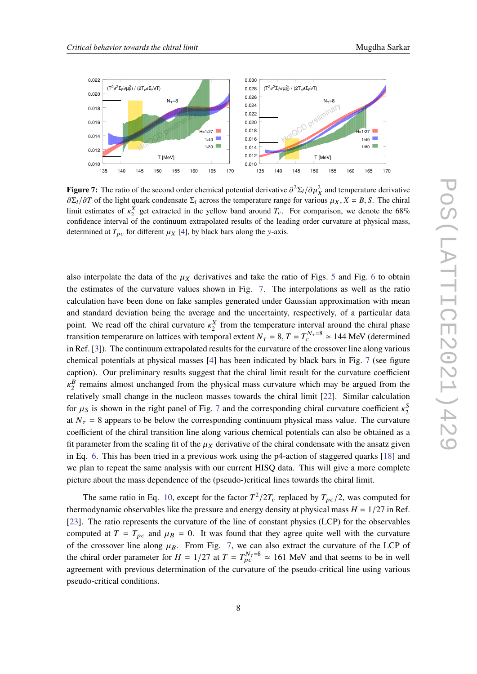<span id="page-7-0"></span>

**Figure 7:** The ratio of the second order chemical potential derivative  $\partial^2 \Sigma_l / \partial \mu_X^2$  and temperature derivative  $\partial \Sigma_l/\partial T$  of the light quark condensate  $\Sigma_l$  across the temperature range for various  $\mu_X$ ,  $X = B$ , S. The chiral limit estimates of  $\kappa_2^X$  get extracted in the yellow band around  $T_c$ . For comparison, we denote the 68% confidence interval of the continuum extrapolated results of the leading order curvature at physical mass, determined at  $T_{pc}$  for different  $\mu_X$  [\[4\]](#page-8-3), by black bars along the y-axis.

also interpolate the data of the  $\mu_X$  derivatives and take the ratio of Figs. [5](#page-5-0) and Fig. [6](#page-6-3) to obtain the estimates of the curvature values shown in Fig. [7.](#page-7-0) The interpolations as well as the ratio calculation have been done on fake samples generated under Gaussian approximation with mean and standard deviation being the average and the uncertainty, respectively, of a particular data point. We read off the chiral curvature  $\kappa_2^X$  from the temperature interval around the chiral phase transition temperature on lattices with temporal extent  $N_{\tau} = 8$ ,  $T = T_c^{N_{\tau}=8} \approx 144$  MeV (determined in Ref. [\[3\]](#page-8-2)). The continuum extrapolated results for the curvature of the crossover line along various chemical potentials at physical masses [\[4\]](#page-8-3) has been indicated by black bars in Fig. [7](#page-7-0) (see figure caption). Our preliminary results suggest that the chiral limit result for the curvature coefficient  $\kappa_2^B$  remains almost unchanged from the physical mass curvature which may be argued from the relatively small change in the nucleon masses towards the chiral limit [\[22\]](#page-10-3). Similar calculation for  $\mu_S$  is shown in the right panel of Fig. [7](#page-7-0) and the corresponding chiral curvature coefficient  $\kappa_2^S$ at  $N_{\tau}$  = 8 appears to be below the corresponding continuum physical mass value. The curvature coefficient of the chiral transition line along various chemical potentials can also be obtained as a fit parameter from the scaling fit of the  $\mu_X$  derivative of the chiral condensate with the ansatz given in Eq. [6.](#page-4-1) This has been tried in a previous work using the p4-action of staggered quarks [\[18\]](#page-9-11) and we plan to repeat the same analysis with our current HISQ data. This will give a more complete picture about the mass dependence of the (pseudo-)critical lines towards the chiral limit.

The same ratio in Eq. [10,](#page-6-4) except for the factor  $T^2/2T_c$  replaced by  $T_{pc}/2$ , was computed for thermodynamic observables like the pressure and energy density at physical mass  $H = 1/27$  in Ref. [\[23\]](#page-10-4). The ratio represents the curvature of the line of constant physics (LCP) for the observables computed at  $T = T_{pc}$  and  $\mu_B = 0$ . It was found that they agree quite well with the curvature of the crossover line along  $\mu_B$ . From Fig. [7,](#page-7-0) we can also extract the curvature of the LCP of the chiral order parameter for  $H = 1/27$  at  $T = T_{pc}^{N_{\tau}=8} \approx 161$  MeV and that seems to be in well agreement with previous determination of the curvature of the pseudo-critical line using various pseudo-critical conditions.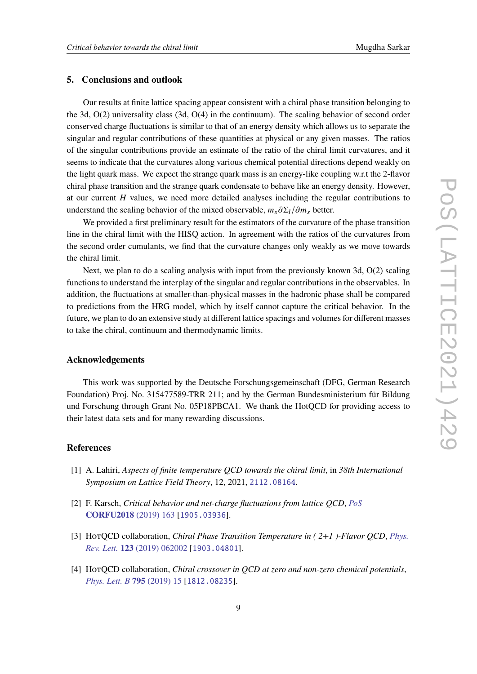# **5. Conclusions and outlook**

Our results at finite lattice spacing appear consistent with a chiral phase transition belonging to the 3d, O(2) universality class (3d, O(4) in the continuum). The scaling behavior of second order conserved charge fluctuations is similar to that of an energy density which allows us to separate the singular and regular contributions of these quantities at physical or any given masses. The ratios of the singular contributions provide an estimate of the ratio of the chiral limit curvatures, and it seems to indicate that the curvatures along various chemical potential directions depend weakly on the light quark mass. We expect the strange quark mass is an energy-like coupling w.r.t the 2-flavor chiral phase transition and the strange quark condensate to behave like an energy density. However, at our current  $H$  values, we need more detailed analyses including the regular contributions to understand the scaling behavior of the mixed observable,  $m_s \partial \Sigma_l / \partial m_s$  better.

We provided a first preliminary result for the estimators of the curvature of the phase transition line in the chiral limit with the HISQ action. In agreement with the ratios of the curvatures from the second order cumulants, we find that the curvature changes only weakly as we move towards the chiral limit.

Next, we plan to do a scaling analysis with input from the previously known 3d, O(2) scaling functions to understand the interplay of the singular and regular contributions in the observables. In addition, the fluctuations at smaller-than-physical masses in the hadronic phase shall be compared to predictions from the HRG model, which by itself cannot capture the critical behavior. In the future, we plan to do an extensive study at different lattice spacings and volumes for different masses to take the chiral, continuum and thermodynamic limits.

# **Acknowledgements**

This work was supported by the Deutsche Forschungsgemeinschaft (DFG, German Research Foundation) Proj. No. 315477589-TRR 211; and by the German Bundesministerium für Bildung und Forschung through Grant No. 05P18PBCA1. We thank the HotQCD for providing access to their latest data sets and for many rewarding discussions.

# **References**

- <span id="page-8-0"></span>[1] A. Lahiri, *Aspects of finite temperature QCD towards the chiral limit*, in *38th International Symposium on Lattice Field Theory*, 12, 2021, [2112.08164](https://arxiv.org/abs/2112.08164).
- <span id="page-8-1"></span>[2] F. Karsch, *Critical behavior and net-charge fluctuations from lattice QCD*, *[PoS](https://doi.org/10.22323/1.347.0163)* **[CORFU2018](https://doi.org/10.22323/1.347.0163)** (2019) 163 [[1905.03936](https://arxiv.org/abs/1905.03936)].
- <span id="page-8-2"></span>[3] HotQCD collaboration, *Chiral Phase Transition Temperature in ( 2+1 )-Flavor QCD*, *[Phys.](https://doi.org/10.1103/PhysRevLett.123.062002) Rev. Lett.* **123** [\(2019\) 062002](https://doi.org/10.1103/PhysRevLett.123.062002) [[1903.04801](https://arxiv.org/abs/1903.04801)].
- <span id="page-8-3"></span>[4] HotQCD collaboration, *Chiral crossover in QCD at zero and non-zero chemical potentials*, *[Phys. Lett. B](https://doi.org/10.1016/j.physletb.2019.05.013)* **795** (2019) 15 [[1812.08235](https://arxiv.org/abs/1812.08235)].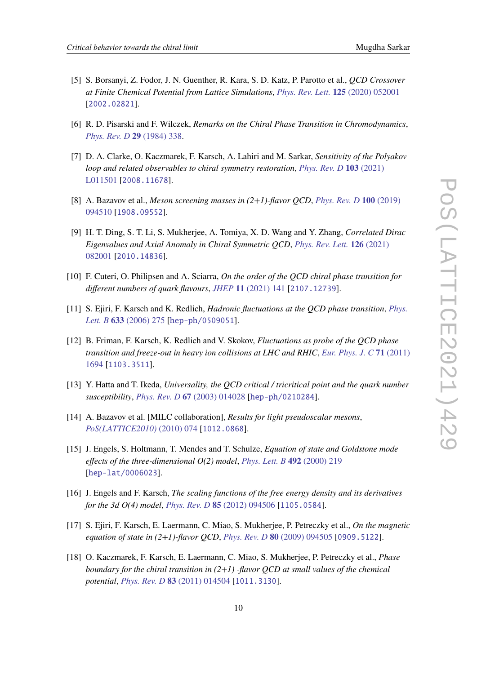- <span id="page-9-0"></span>[5] S. Borsanyi, Z. Fodor, J. N. Guenther, R. Kara, S. D. Katz, P. Parotto et al., *QCD Crossover at Finite Chemical Potential from Lattice Simulations*, *[Phys. Rev. Lett.](https://doi.org/10.1103/PhysRevLett.125.052001)* **125** (2020) 052001 [[2002.02821](https://arxiv.org/abs/2002.02821)].
- <span id="page-9-1"></span>[6] R. D. Pisarski and F. Wilczek, *Remarks on the Chiral Phase Transition in Chromodynamics*, *[Phys. Rev. D](https://doi.org/10.1103/PhysRevD.29.338)* **29** (1984) 338.
- <span id="page-9-2"></span>[7] D. A. Clarke, O. Kaczmarek, F. Karsch, A. Lahiri and M. Sarkar, *Sensitivity of the Polyakov loop and related observables to chiral symmetry restoration*, *[Phys. Rev. D](https://doi.org/10.1103/PhysRevD.103.L011501)* **103** (2021) [L011501](https://doi.org/10.1103/PhysRevD.103.L011501) [[2008.11678](https://arxiv.org/abs/2008.11678)].
- [8] A. Bazavov et al., *Meson screening masses in (2+1)-flavor QCD*, *[Phys. Rev. D](https://doi.org/10.1103/PhysRevD.100.094510)* **100** (2019) [094510](https://doi.org/10.1103/PhysRevD.100.094510) [[1908.09552](https://arxiv.org/abs/1908.09552)].
- [9] H. T. Ding, S. T. Li, S. Mukherjee, A. Tomiya, X. D. Wang and Y. Zhang, *Correlated Dirac Eigenvalues and Axial Anomaly in Chiral Symmetric QCD*, *[Phys. Rev. Lett.](https://doi.org/10.1103/PhysRevLett.126.082001)* **126** (2021) [082001](https://doi.org/10.1103/PhysRevLett.126.082001) [[2010.14836](https://arxiv.org/abs/2010.14836)].
- <span id="page-9-3"></span>[10] F. Cuteri, O. Philipsen and A. Sciarra, *On the order of the QCD chiral phase transition for different numbers of quark flavours*, *JHEP* **11** [\(2021\) 141](https://doi.org/10.1007/JHEP11(2021)141) [[2107.12739](https://arxiv.org/abs/2107.12739)].
- <span id="page-9-4"></span>[11] S. Ejiri, F. Karsch and K. Redlich, *Hadronic fluctuations at the QCD phase transition*, *[Phys.](https://doi.org/10.1016/j.physletb.2005.11.083) Lett. B* **633** [\(2006\) 275](https://doi.org/10.1016/j.physletb.2005.11.083) [[hep-ph/0509051](https://arxiv.org/abs/hep-ph/0509051)].
- <span id="page-9-5"></span>[12] B. Friman, F. Karsch, K. Redlich and V. Skokov, *Fluctuations as probe of the QCD phase transition and freeze-out in heavy ion collisions at LHC and RHIC*, *[Eur. Phys. J. C](https://doi.org/10.1140/epjc/s10052-011-1694-2)* **71** (2011) [1694](https://doi.org/10.1140/epjc/s10052-011-1694-2) [[1103.3511](https://arxiv.org/abs/1103.3511)].
- <span id="page-9-6"></span>[13] Y. Hatta and T. Ikeda, *Universality, the QCD critical / tricritical point and the quark number susceptibility*, *[Phys. Rev. D](https://doi.org/10.1103/PhysRevD.67.014028)* **67** (2003) 014028 [[hep-ph/0210284](https://arxiv.org/abs/hep-ph/0210284)].
- <span id="page-9-7"></span>[14] A. Bazavov et al. [MILC collaboration], *Results for light pseudoscalar mesons*, *[PoS\(LATTICE2010\)](https://doi.org/10.22323/1.105.0074)* (2010) 074 [[1012.0868](https://arxiv.org/abs/1012.0868)].
- <span id="page-9-8"></span>[15] J. Engels, S. Holtmann, T. Mendes and T. Schulze, *Equation of state and Goldstone mode effects of the three-dimensional O(2) model*, *[Phys. Lett. B](https://doi.org/10.1016/S0370-2693(00)01079-0)* **492** (2000) 219 [[hep-lat/0006023](https://arxiv.org/abs/hep-lat/0006023)].
- <span id="page-9-9"></span>[16] J. Engels and F. Karsch, *The scaling functions of the free energy density and its derivatives for the 3d O(4) model*, *[Phys. Rev. D](https://doi.org/10.1103/PhysRevD.85.094506)* **85** (2012) 094506 [[1105.0584](https://arxiv.org/abs/1105.0584)].
- <span id="page-9-10"></span>[17] S. Ejiri, F. Karsch, E. Laermann, C. Miao, S. Mukherjee, P. Petreczky et al., *On the magnetic equation of state in (2+1)-flavor QCD*, *[Phys. Rev. D](https://doi.org/10.1103/PhysRevD.80.094505)* **80** (2009) 094505 [[0909.5122](https://arxiv.org/abs/0909.5122)].
- <span id="page-9-11"></span>[18] O. Kaczmarek, F. Karsch, E. Laermann, C. Miao, S. Mukherjee, P. Petreczky et al., *Phase boundary for the chiral transition in (2+1) -flavor QCD at small values of the chemical potential*, *[Phys. Rev. D](https://doi.org/10.1103/PhysRevD.83.014504)* **83** (2011) 014504 [[1011.3130](https://arxiv.org/abs/1011.3130)].